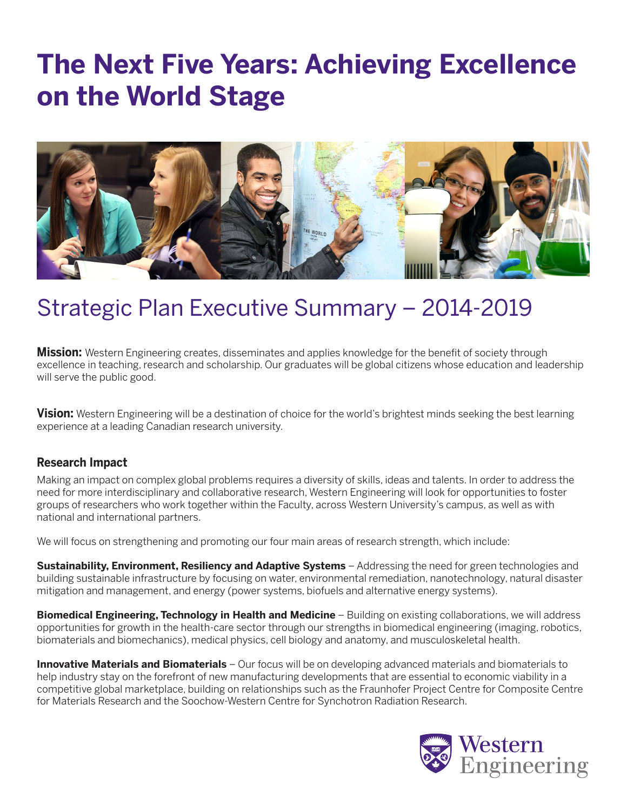## **The Next Five Years: Achieving Excellence on the World Stage**



### Strategic Plan Executive Summary – 2014-2019

**Mission:** Western Engineering creates, disseminates and applies knowledge for the benefit of society through excellence in teaching, research and scholarship. Our graduates will be global citizens whose education and leadership will serve the public good.

**Vision:** Western Engineering will be a destination of choice for the world's brightest minds seeking the best learning experience at a leading Canadian research university*.*

### **Research Impact**

Making an impact on complex global problems requires a diversity of skills, ideas and talents. In order to address the need for more interdisciplinary and collaborative research, Western Engineering will look for opportunities to foster groups of researchers who work together within the Faculty, across Western University's campus, as well as with national and international partners.

We will focus on strengthening and promoting our four main areas of research strength, which include:

**Sustainability, Environment, Resiliency and Adaptive Systems** – Addressing the need for green technologies and building sustainable infrastructure by focusing on water, environmental remediation, nanotechnology, natural disaster mitigation and management, and energy (power systems, biofuels and alternative energy systems).

**Biomedical Engineering, Technology in Health and Medicine** – Building on existing collaborations, we will address opportunities for growth in the health-care sector through our strengths in biomedical engineering (imaging, robotics, biomaterials and biomechanics), medical physics, cell biology and anatomy, and musculoskeletal health.

**Innovative Materials and Biomaterials** – Our focus will be on developing advanced materials and biomaterials to help industry stay on the forefront of new manufacturing developments that are essential to economic viability in a competitive global marketplace, building on relationships such as the Fraunhofer Project Centre for Composite Centre for Materials Research and the Soochow-Western Centre for Synchotron Radiation Research.